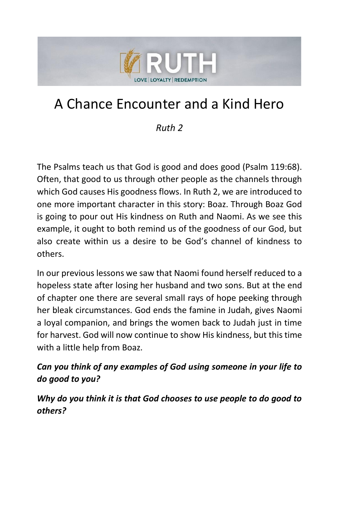

# A Chance Encounter and a Kind Hero

#### *Ruth 2*

The Psalms teach us that God is good and does good (Psalm 119:68). Often, that good to us through other people as the channels through which God causes His goodness flows. In Ruth 2, we are introduced to one more important character in this story: Boaz. Through Boaz God is going to pour out His kindness on Ruth and Naomi. As we see this example, it ought to both remind us of the goodness of our God, but also create within us a desire to be God's channel of kindness to others.

In our previous lessons we saw that Naomi found herself reduced to a hopeless state after losing her husband and two sons. But at the end of chapter one there are several small rays of hope peeking through her bleak circumstances. God ends the famine in Judah, gives Naomi a loyal companion, and brings the women back to Judah just in time for harvest. God will now continue to show His kindness, but this time with a little help from Boaz.

#### *Can you think of any examples of God using someone in your life to do good to you?*

*Why do you think it is that God chooses to use people to do good to others?*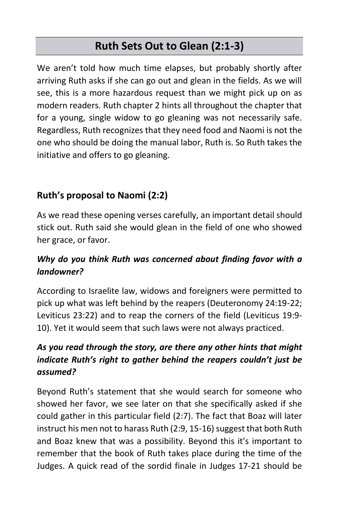# **Ruth Sets Out to Glean (2:1-3)**

We aren't told how much time elapses, but probably shortly after arriving Ruth asks if she can go out and glean in the fields. As we will see, this is a more hazardous request than we might pick up on as modern readers. Ruth chapter 2 hints all throughout the chapter that for a young, single widow to go gleaning was not necessarily safe. Regardless, Ruth recognizes that they need food and Naomi is not the one who should be doing the manual labor, Ruth is. So Ruth takes the initiative and offers to go gleaning.

#### **Ruth's proposal to Naomi (2:2)**

As we read these opening verses carefully, an important detail should stick out. Ruth said she would glean in the field of one who showed her grace, or favor.

#### *Why do you think Ruth was concerned about finding favor with a landowner?*

According to Israelite law, widows and foreigners were permitted to pick up what was left behind by the reapers (Deuteronomy 24:19-22; Leviticus 23:22) and to reap the corners of the field (Leviticus 19:9- 10). Yet it would seem that such laws were not always practiced.

#### *As you read through the story, are there any other hints that might indicate Ruth's right to gather behind the reapers couldn't just be assumed?*

Beyond Ruth's statement that she would search for someone who showed her favor, we see later on that she specifically asked if she could gather in this particular field (2:7). The fact that Boaz will later instruct his men not to harass Ruth (2:9, 15-16) suggest that both Ruth and Boaz knew that was a possibility. Beyond this it's important to remember that the book of Ruth takes place during the time of the Judges. A quick read of the sordid finale in Judges 17-21 should be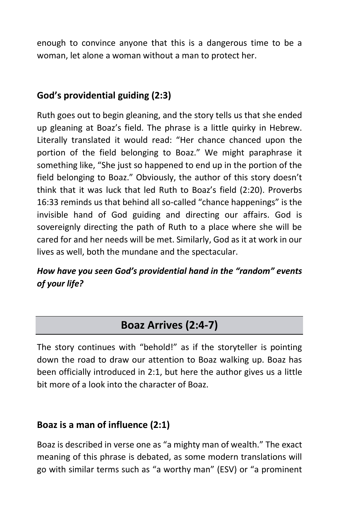enough to convince anyone that this is a dangerous time to be a woman, let alone a woman without a man to protect her.

#### **God's providential guiding (2:3)**

Ruth goes out to begin gleaning, and the story tells us that she ended up gleaning at Boaz's field. The phrase is a little quirky in Hebrew. Literally translated it would read: "Her chance chanced upon the portion of the field belonging to Boaz." We might paraphrase it something like, "She just so happened to end up in the portion of the field belonging to Boaz." Obviously, the author of this story doesn't think that it was luck that led Ruth to Boaz's field (2:20). Proverbs 16:33 reminds us that behind all so-called "chance happenings" is the invisible hand of God guiding and directing our affairs. God is sovereignly directing the path of Ruth to a place where she will be cared for and her needs will be met. Similarly, God as it at work in our lives as well, both the mundane and the spectacular.

#### *How have you seen God's providential hand in the "random" events of your life?*

# **Boaz Arrives (2:4-7)**

The story continues with "behold!" as if the storyteller is pointing down the road to draw our attention to Boaz walking up. Boaz has been officially introduced in 2:1, but here the author gives us a little bit more of a look into the character of Boaz.

#### **Boaz is a man of influence (2:1)**

Boaz is described in verse one as "a mighty man of wealth." The exact meaning of this phrase is debated, as some modern translations will go with similar terms such as "a worthy man" (ESV) or "a prominent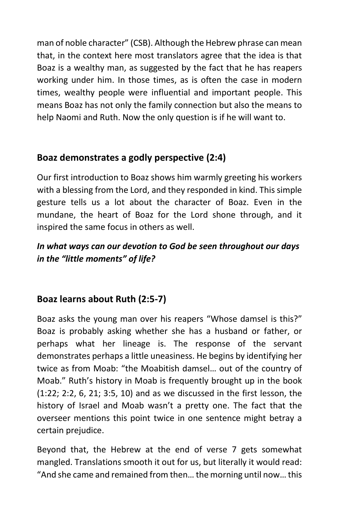man of noble character" (CSB). Although the Hebrew phrase can mean that, in the context here most translators agree that the idea is that Boaz is a wealthy man, as suggested by the fact that he has reapers working under him. In those times, as is often the case in modern times, wealthy people were influential and important people. This means Boaz has not only the family connection but also the means to help Naomi and Ruth. Now the only question is if he will want to.

# **Boaz demonstrates a godly perspective (2:4)**

Our first introduction to Boaz shows him warmly greeting his workers with a blessing from the Lord, and they responded in kind. This simple gesture tells us a lot about the character of Boaz. Even in the mundane, the heart of Boaz for the Lord shone through, and it inspired the same focus in others as well.

# *In what ways can our devotion to God be seen throughout our days in the "little moments" of life?*

# **Boaz learns about Ruth (2:5-7)**

Boaz asks the young man over his reapers "Whose damsel is this?" Boaz is probably asking whether she has a husband or father, or perhaps what her lineage is. The response of the servant demonstrates perhaps a little uneasiness. He begins by identifying her twice as from Moab: "the Moabitish damsel… out of the country of Moab." Ruth's history in Moab is frequently brought up in the book (1:22; 2:2, 6, 21; 3:5, 10) and as we discussed in the first lesson, the history of Israel and Moab wasn't a pretty one. The fact that the overseer mentions this point twice in one sentence might betray a certain prejudice.

Beyond that, the Hebrew at the end of verse 7 gets somewhat mangled. Translations smooth it out for us, but literally it would read: "And she came and remained from then… the morning until now…this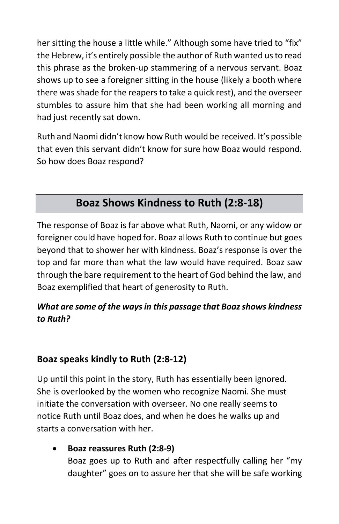her sitting the house a little while." Although some have tried to "fix" the Hebrew, it's entirely possible the author of Ruth wanted us to read this phrase as the broken-up stammering of a nervous servant. Boaz shows up to see a foreigner sitting in the house (likely a booth where there was shade for the reapers to take a quick rest), and the overseer stumbles to assure him that she had been working all morning and had just recently sat down.

Ruth and Naomi didn't know how Ruth would be received. It's possible that even this servant didn't know for sure how Boaz would respond. So how does Boaz respond?

# **Boaz Shows Kindness to Ruth (2:8-18)**

The response of Boaz is far above what Ruth, Naomi, or any widow or foreigner could have hoped for. Boaz allows Ruth to continue but goes beyond that to shower her with kindness. Boaz's response is over the top and far more than what the law would have required. Boaz saw through the bare requirement to the heart of God behind the law, and Boaz exemplified that heart of generosity to Ruth.

#### *What are some of the ways in this passage that Boaz shows kindness to Ruth?*

#### **Boaz speaks kindly to Ruth (2:8-12)**

Up until this point in the story, Ruth has essentially been ignored. She is overlooked by the women who recognize Naomi. She must initiate the conversation with overseer. No one really seems to notice Ruth until Boaz does, and when he does he walks up and starts a conversation with her.

• **Boaz reassures Ruth (2:8-9)** Boaz goes up to Ruth and after respectfully calling her "my daughter" goes on to assure her that she will be safe working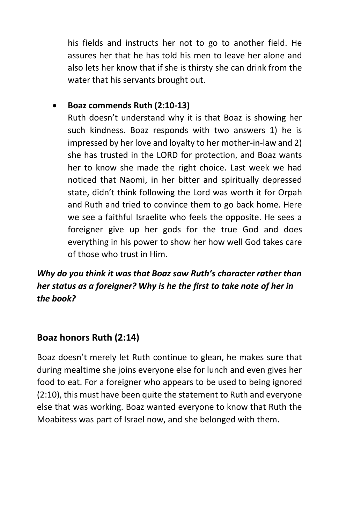his fields and instructs her not to go to another field. He assures her that he has told his men to leave her alone and also lets her know that if she is thirsty she can drink from the water that his servants brought out.

#### • **Boaz commends Ruth (2:10-13)**

Ruth doesn't understand why it is that Boaz is showing her such kindness. Boaz responds with two answers 1) he is impressed by her love and loyalty to her mother-in-law and 2) she has trusted in the LORD for protection, and Boaz wants her to know she made the right choice. Last week we had noticed that Naomi, in her bitter and spiritually depressed state, didn't think following the Lord was worth it for Orpah and Ruth and tried to convince them to go back home. Here we see a faithful Israelite who feels the opposite. He sees a foreigner give up her gods for the true God and does everything in his power to show her how well God takes care of those who trust in Him.

# *Why do you think it was that Boaz saw Ruth's character rather than her status as a foreigner? Why is he the first to take note of her in the book?*

#### **Boaz honors Ruth (2:14)**

Boaz doesn't merely let Ruth continue to glean, he makes sure that during mealtime she joins everyone else for lunch and even gives her food to eat. For a foreigner who appears to be used to being ignored (2:10), this must have been quite the statement to Ruth and everyone else that was working. Boaz wanted everyone to know that Ruth the Moabitess was part of Israel now, and she belonged with them.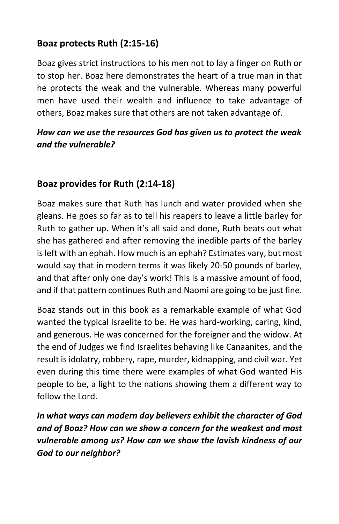### **Boaz protects Ruth (2:15-16)**

Boaz gives strict instructions to his men not to lay a finger on Ruth or to stop her. Boaz here demonstrates the heart of a true man in that he protects the weak and the vulnerable. Whereas many powerful men have used their wealth and influence to take advantage of others, Boaz makes sure that others are not taken advantage of.

#### *How can we use the resources God has given us to protect the weak and the vulnerable?*

# **Boaz provides for Ruth (2:14-18)**

Boaz makes sure that Ruth has lunch and water provided when she gleans. He goes so far as to tell his reapers to leave a little barley for Ruth to gather up. When it's all said and done, Ruth beats out what she has gathered and after removing the inedible parts of the barley is left with an ephah. How much is an ephah? Estimates vary, but most would say that in modern terms it was likely 20-50 pounds of barley, and that after only one day's work! This is a massive amount of food, and if that pattern continues Ruth and Naomi are going to be just fine.

Boaz stands out in this book as a remarkable example of what God wanted the typical Israelite to be. He was hard-working, caring, kind, and generous. He was concerned for the foreigner and the widow. At the end of Judges we find Israelites behaving like Canaanites, and the result is idolatry, robbery, rape, murder, kidnapping, and civil war. Yet even during this time there were examples of what God wanted His people to be, a light to the nations showing them a different way to follow the Lord.

*In what ways can modern day believers exhibit the character of God and of Boaz? How can we show a concern for the weakest and most vulnerable among us? How can we show the lavish kindness of our God to our neighbor?*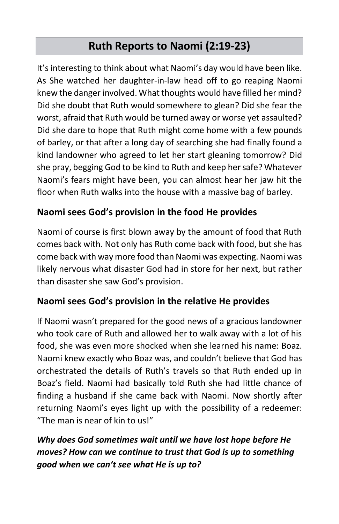# **Ruth Reports to Naomi (2:19-23)**

It's interesting to think about what Naomi's day would have been like. As She watched her daughter-in-law head off to go reaping Naomi knew the danger involved. What thoughts would have filled her mind? Did she doubt that Ruth would somewhere to glean? Did she fear the worst, afraid that Ruth would be turned away or worse yet assaulted? Did she dare to hope that Ruth might come home with a few pounds of barley, or that after a long day of searching she had finally found a kind landowner who agreed to let her start gleaning tomorrow? Did she pray, begging God to be kind to Ruth and keep her safe? Whatever Naomi's fears might have been, you can almost hear her jaw hit the floor when Ruth walks into the house with a massive bag of barley.

#### **Naomi sees God's provision in the food He provides**

Naomi of course is first blown away by the amount of food that Ruth comes back with. Not only has Ruth come back with food, but she has come back with way more food than Naomi was expecting. Naomi was likely nervous what disaster God had in store for her next, but rather than disaster she saw God's provision.

#### **Naomi sees God's provision in the relative He provides**

If Naomi wasn't prepared for the good news of a gracious landowner who took care of Ruth and allowed her to walk away with a lot of his food, she was even more shocked when she learned his name: Boaz. Naomi knew exactly who Boaz was, and couldn't believe that God has orchestrated the details of Ruth's travels so that Ruth ended up in Boaz's field. Naomi had basically told Ruth she had little chance of finding a husband if she came back with Naomi. Now shortly after returning Naomi's eyes light up with the possibility of a redeemer: "The man is near of kin to us!"

# *Why does God sometimes wait until we have lost hope before He moves? How can we continue to trust that God is up to something good when we can't see what He is up to?*